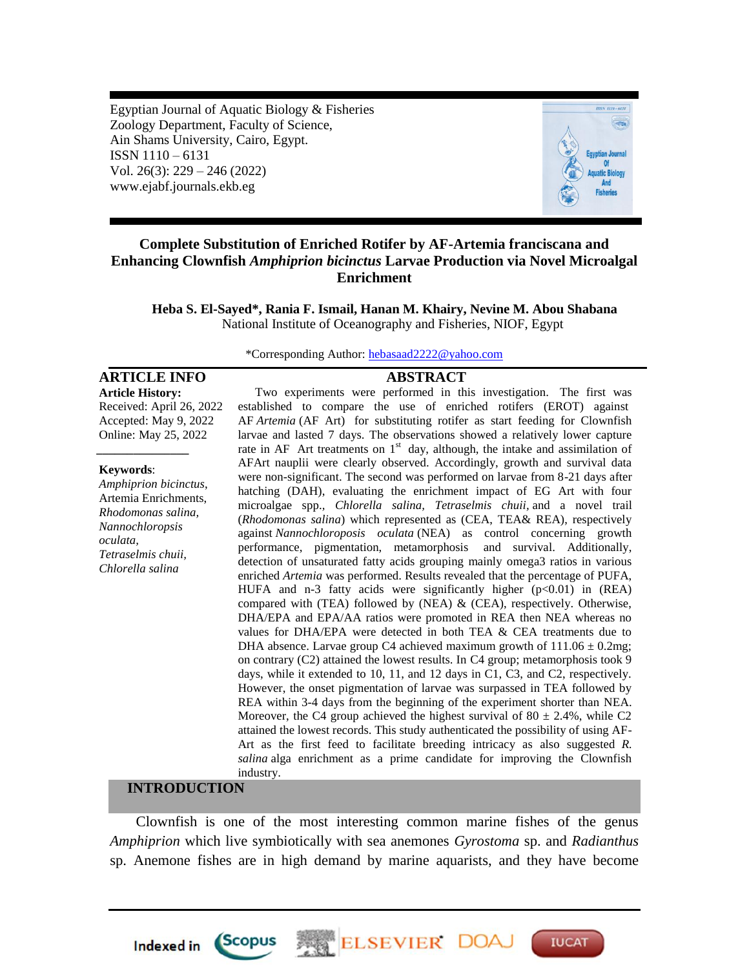Egyptian Journal of Aquatic Biology & Fisheries Zoology Department, Faculty of Science, Ain Shams University, Cairo, Egypt. ISSN 1110 – 6131 Vol. 26(3): 229 – 246 (2022) www.ejabf.journals.ekb.eg



# **Complete Substitution of Enriched Rotifer by AF-Artemia franciscana and Enhancing Clownfish** *Amphiprion bicinctus* **Larvae Production via Novel Microalgal Enrichment**

**Heba S. El-Sayed\*, Rania F. Ismail, Hanan M. Khairy, Nevine M. Abou Shabana** National Institute of Oceanography and Fisheries, NIOF, Egypt

**Article History:** Received: April 26, 2022 Accepted: May 9, 2022 Online: May 25, 2022

#### **Keywords**:

*\_\_\_\_\_\_\_\_\_\_\_\_\_\_\_*

*Amphiprion bicinctus*, Artemia Enrichments, *Rhodomonas salina, Nannochloropsis oculata, Tetraselmis chuii, Chlorella salina*

\*Corresponding Author: [hebasaad2222@yahoo.com](mailto:hebasaad2222@yahoo.com)

#### **ARTICLE INFO ABSTRACT**

Two experiments were performed in this investigation. The first was established to compare the use of enriched rotifers (EROT) against AF *Artemia* (AF Art) for substituting rotifer as start feeding for Clownfish larvae and lasted 7 days. The observations showed a relatively lower capture rate in AF Art treatments on  $1<sup>st</sup>$  day, although, the intake and assimilation of AFArt nauplii were clearly observed. Accordingly, growth and survival data were non-significant. The second was performed on larvae from 8-21 days after hatching (DAH), evaluating the enrichment impact of EG Art with four microalgae spp.*, Chlorella salina, Tetraselmis chuii,* and a novel trail (*Rhodomonas salina*) which represented as (CEA, TEA& REA), respectively against *Nannochloroposis oculata* (NEA) as control concerning growth performance, pigmentation, metamorphosis and survival. Additionally, detection of unsaturated fatty acids grouping mainly omega3 ratios in various enriched *Artemia* was performed. Results revealed that the percentage of PUFA, HUFA and n-3 fatty acids were significantly higher  $(p<0.01)$  in (REA) compared with (TEA) followed by (NEA)  $\&$  (CEA), respectively. Otherwise, DHA/EPA and EPA/AA ratios were promoted in REA then NEA whereas no values for DHA/EPA were detected in both TEA & CEA treatments due to DHA absence. Larvae group C4 achieved maximum growth of  $111.06 \pm 0.2$ mg; on contrary (C2) attained the lowest results. In C4 group; metamorphosis took 9 days, while it extended to 10, 11, and 12 days in C1, C3, and C2, respectively. However, the onset pigmentation of larvae was surpassed in TEA followed by REA within 3-4 days from the beginning of the experiment shorter than NEA. Moreover, the C4 group achieved the highest survival of  $80 \pm 2.4\%$ , while C2 attained the lowest records. This study authenticated the possibility of using AF-Art as the first feed to facilitate breeding intricacy as also suggested *R. salina* alga enrichment as a prime candidate for improving the Clownfish industry.

### **INTRODUCTION**

**Indexed in** 

*Scopus* 

Clownfish is one of the most interesting common marine fishes of the genus *Amphiprion* which live symbiotically with sea anemones *Gyrostoma* sp. and *Radianthus*  sp. Anemone fishes are in high demand by marine aquarists, and they have become

ELSEVIER DOA

**IUCAT**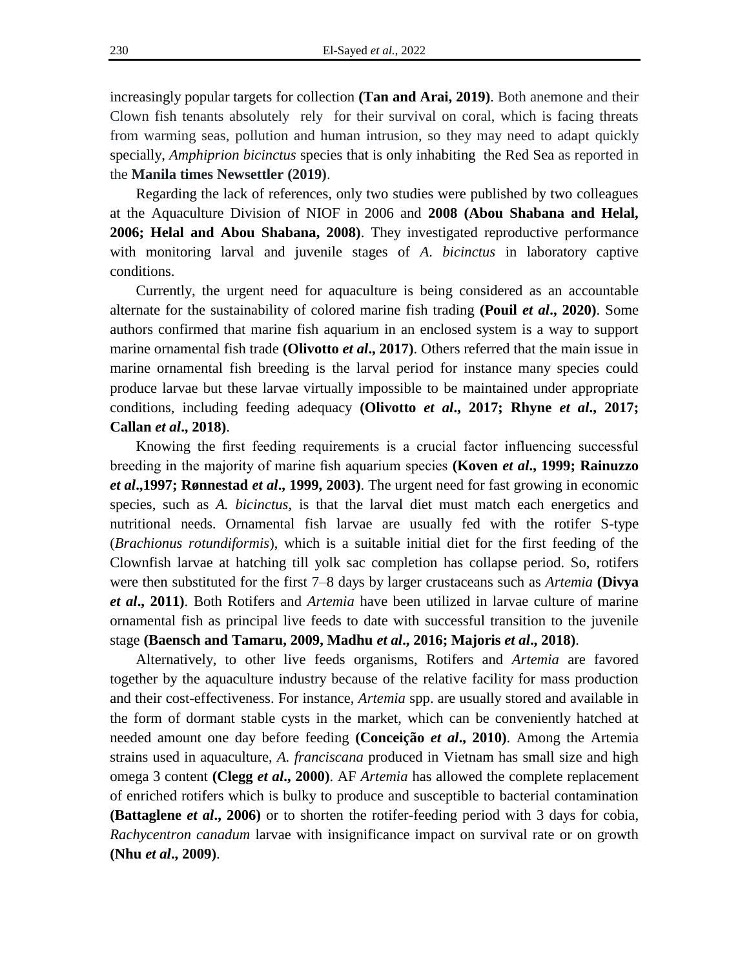increasingly popular targets for collection **(Tan and Arai, 2019)**. Both anemone and their Clown fish tenants absolutely rely for their survival on coral, which is facing threats from warming seas, pollution and human intrusion, so they may need to adapt quickly specially, *Amphiprion bicinctus* species that is only inhabiting the Red Sea as reported in the **Manila times Newsettler (2019)**.

Regarding the lack of references, only two studies were published by two colleagues at the Aquaculture Division of NIOF in 2006 and **2008 (Abou Shabana and Helal, 2006; Helal and Abou Shabana, 2008)**. They investigated reproductive performance with monitoring larval and juvenile stages of *A*. *bicinctus* in laboratory captive conditions.

Currently, the urgent need for aquaculture is being considered as an accountable alternate for the sustainability of colored marine fish trading **(Pouil** *et al***., 2020)**. Some authors confirmed that marine fish aquarium in an enclosed system is a way to support marine ornamental fish trade **(Olivotto** *et al***., 2017)**. Others referred that the main issue in marine ornamental fish breeding is the larval period for instance many species could produce larvae but these larvae virtually impossible to be maintained under appropriate conditions, including feeding adequacy **(Olivotto** *et al***., 2017; Rhyne** *et al***., 2017; Callan** *et al***., 2018)**.

Knowing the first feeding requirements is a crucial factor influencing successful breeding in the majority of marine fish aquarium species **(Koven** *et al***., 1999; Rainuzzo**  *et al***.,1997; Rønnestad** *et al***., 1999, 2003)**. The urgent need for fast growing in economic species, such as *A. bicinctus*, is that the larval diet must match each energetics and nutritional needs. Ornamental fish larvae are usually fed with the rotifer S-type (*Brachionus rotundiformis*), which is a suitable initial diet for the first feeding of the Clownfish larvae at hatching till yolk sac completion has collapse period. So, rotifers were then substituted for the first 7–8 days by larger crustaceans such as *Artemia* **(Divya**  *et al***., 2011)**. Both Rotifers and *Artemia* have been utilized in larvae culture of marine ornamental fish as principal live feeds to date with successful transition to the juvenile stage **(Baensch and Tamaru, 2009, Madhu** *et al***., 2016; Majoris** *et al***., 2018)**.

Alternatively, to other live feeds organisms, Rotifers and *Artemia* are favored together by the aquaculture industry because of the relative facility for mass production and their cost-effectiveness. For instance, *Artemia* spp. are usually stored and available in the form of dormant stable cysts in the market, which can be conveniently hatched at needed amount one day before feeding **(Conceição** *et al***., 2010)**. Among the Artemia strains used in aquaculture, *A. franciscana* produced in Vietnam has small size and high omega 3 content **(Clegg** *et al***., 2000)**. AF *Artemia* has allowed the complete replacement of enriched rotifers which is bulky to produce and susceptible to bacterial contamination **(Battaglene** *et al***., 2006)** or to shorten the rotifer-feeding period with 3 days for cobia, *Rachycentron canadum* larvae with insignificance impact on survival rate or on growth **(Nhu** *et al***., 2009)**.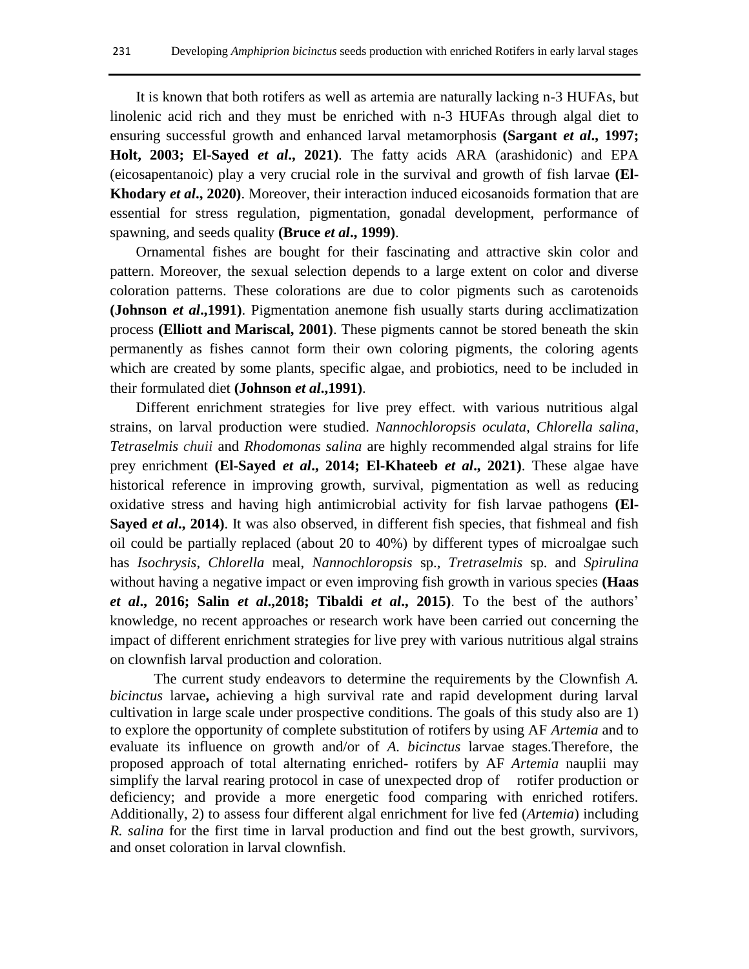It is known that both rotifers as well as artemia are naturally lacking n-3 HUFAs, but linolenic acid rich and they must be enriched with n-3 HUFAs through algal diet to ensuring successful growth and enhanced larval metamorphosis **(Sargant** *et al***., 1997; Holt, 2003; El-Sayed** *et al***., 2021)**. The fatty acids ARA (arashidonic) and EPA (eicosapentanoic) play a very crucial role in the survival and growth of fish larvae **(El-Khodary** *et al***., 2020)**. Moreover, their interaction induced eicosanoids formation that are essential for stress regulation, pigmentation, gonadal development, performance of spawning, and seeds quality **(Bruce** *et al***., 1999)**.

Ornamental fishes are bought for their fascinating and attractive skin color and pattern. Moreover, the sexual selection depends to a large extent on color and diverse coloration patterns. These colorations are due to color pigments such as carotenoids **(Johnson** *et al***.,1991)**. Pigmentation anemone fish usually starts during acclimatization process **(Elliott and Mariscal, 2001)**. These pigments cannot be stored beneath the skin permanently as fishes cannot form their own coloring pigments, the coloring agents which are created by some plants, specific algae, and probiotics, need to be included in their formulated diet **(Johnson** *et al***.,1991)**.

Different enrichment strategies for live prey effect. with various nutritious algal strains, on larval production were studied. *Nannochloropsis oculata*, *Chlorella salina*, *Tetraselmis chuii* and *Rhodomonas salina* are highly recommended algal strains for life prey enrichment **(El-Sayed** *et al***., 2014; El-Khateeb** *et al***., 2021)**. These algae have historical reference in improving growth, survival, pigmentation as well as reducing oxidative stress and having high antimicrobial activity for fish larvae pathogens **(El-Sayed** *et al***., 2014)**. It was also observed, in different fish species, that fishmeal and fish oil could be partially replaced (about 20 to 40%) by different types of microalgae such has *Isochrysis*, *Chlorella* meal, *Nannochloropsis* sp., *Tretraselmis* sp. and *Spirulina*  without having a negative impact or even improving fish growth in various species **(Haas**  *et al***., 2016; Salin** *et al***.,2018; Tibaldi** *et al***., 2015)**. To the best of the authors' knowledge, no recent approaches or research work have been carried out concerning the impact of different enrichment strategies for live prey with various nutritious algal strains on clownfish larval production and coloration.

The current study endeavors to determine the requirements by the Clownfish *A. bicinctus* larvae**,** achieving a high survival rate and rapid development during larval cultivation in large scale under prospective conditions. The goals of this study also are 1) to explore the opportunity of complete substitution of rotifers by using AF *Artemia* and to evaluate its influence on growth and/or of *A. bicinctus* larvae stages.Therefore, the proposed approach of total alternating enriched- rotifers by AF *Artemia* nauplii may simplify the larval rearing protocol in case of unexpected drop of rotifer production or deficiency; and provide a more energetic food comparing with enriched rotifers. Additionally, 2) to assess four different algal enrichment for live fed (*Artemia*) including *R. salina* for the first time in larval production and find out the best growth, survivors, and onset coloration in larval clownfish.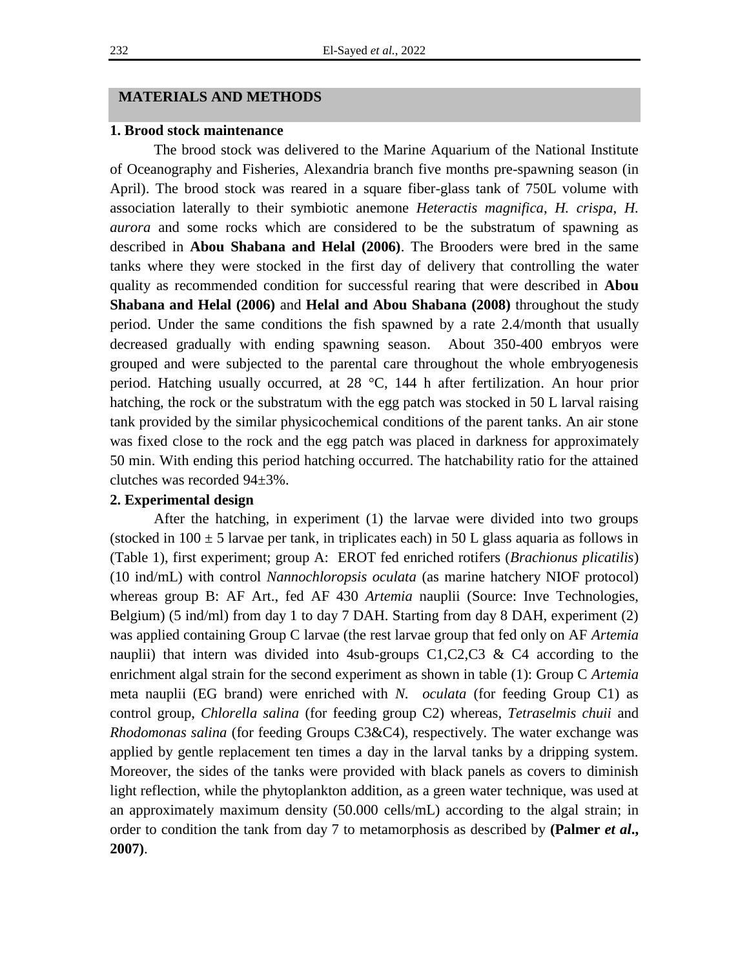#### **MATERIALS AND METHODS**

#### **1. Brood stock maintenance**

The brood stock was delivered to the Marine Aquarium of the National Institute of Oceanography and Fisheries, Alexandria branch five months pre-spawning season (in April). The brood stock was reared in a square fiber-glass tank of 750L volume with association laterally to their symbiotic anemone *Heteractis magnifica*, *H. crispa*, *H. aurora* and some rocks which are considered to be the substratum of spawning as described in **Abou Shabana and Helal (2006)**. The Brooders were bred in the same tanks where they were stocked in the first day of delivery that controlling the water quality as recommended condition for successful rearing that were described in **Abou Shabana and Helal (2006)** and **Helal and Abou Shabana (2008)** throughout the study period. Under the same conditions the fish spawned by a rate 2.4/month that usually decreased gradually with ending spawning season. About 350-400 embryos were grouped and were subjected to the parental care throughout the whole embryogenesis period. Hatching usually occurred, at 28 °C, 144 h after fertilization. An hour prior hatching, the rock or the substratum with the egg patch was stocked in 50 L larval raising tank provided by the similar physicochemical conditions of the parent tanks. An air stone was fixed close to the rock and the egg patch was placed in darkness for approximately 50 min. With ending this period hatching occurred. The hatchability ratio for the attained clutches was recorded 94±3%.

### **2. Experimental design**

After the hatching, in experiment (1) the larvae were divided into two groups (stocked in  $100 \pm 5$  larvae per tank, in triplicates each) in 50 L glass aquaria as follows in (Table 1), first experiment; group A: EROT fed enriched rotifers (*Brachionus plicatilis*) (10 ind/mL) with control *Nannochloropsis oculata* (as marine hatchery NIOF protocol) whereas group B: AF Art., fed AF 430 *Artemia* nauplii (Source: Inve Technologies, Belgium) (5 ind/ml) from day 1 to day 7 DAH. Starting from day 8 DAH, experiment (2) was applied containing Group C larvae (the rest larvae group that fed only on AF *Artemia* nauplii) that intern was divided into 4sub-groups  $C1, C2, C3 \& C4$  according to the enrichment algal strain for the second experiment as shown in table (1): Group C *Artemia* meta nauplii (EG brand) were enriched with *N. oculata* (for feeding Group C1) as control group, *Chlorella salina* (for feeding group C2) whereas, *Tetraselmis chuii* and *Rhodomonas salina* (for feeding Groups C3&C4), respectively. The water exchange was applied by gentle replacement ten times a day in the larval tanks by a dripping system. Moreover, the sides of the tanks were provided with black panels as covers to diminish light reflection, while the phytoplankton addition, as a green water technique, was used at an approximately maximum density (50.000 cells/mL) according to the algal strain; in order to condition the tank from day 7 to metamorphosis as described by **(Palmer** *et al***., 2007)**.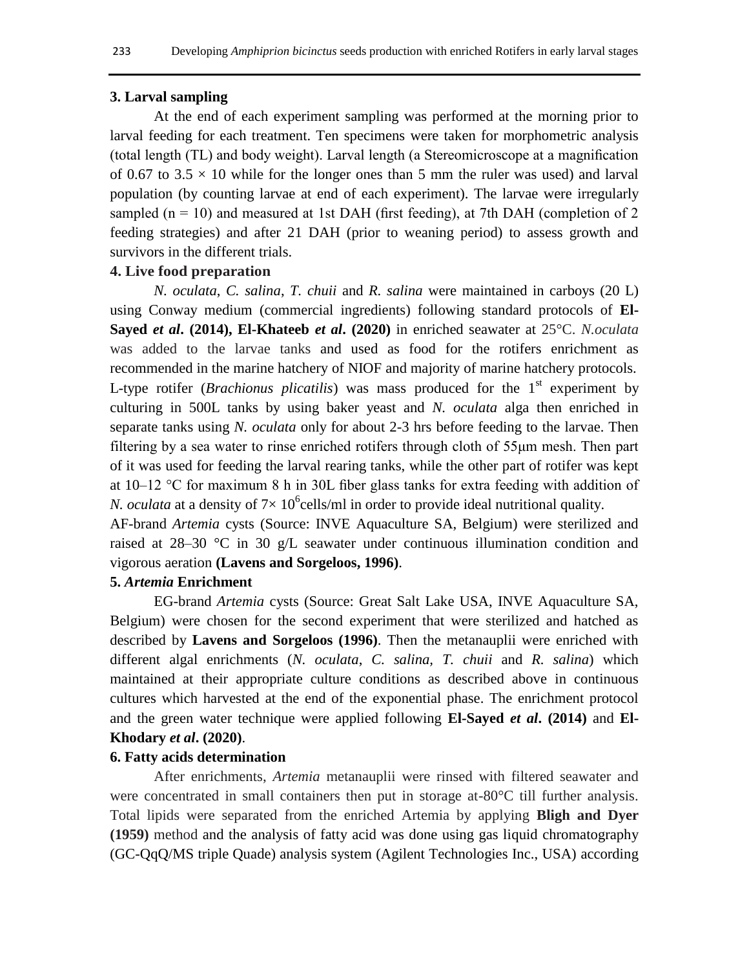#### **3. Larval sampling**

At the end of each experiment sampling was performed at the morning prior to larval feeding for each treatment. Ten specimens were taken for morphometric analysis (total length (TL) and body weight). Larval length (a Stereomicroscope at a magnification of 0.67 to 3.5  $\times$  10 while for the longer ones than 5 mm the ruler was used) and larval population (by counting larvae at end of each experiment). The larvae were irregularly sampled  $(n = 10)$  and measured at 1st DAH (first feeding), at 7th DAH (completion of 2 feeding strategies) and after 21 DAH (prior to weaning period) to assess growth and survivors in the different trials.

## **4. Live food preparation**

*N. oculata*, *C. salina*, *T. chuii* and *R. salina* were maintained in carboys (20 L) using Conway medium (commercial ingredients) following standard protocols of **El-Sayed** *et al***. (2014), El-Khateeb** *et al***. (2020)** in enriched seawater at 25°C. *N.oculata* was added to the larvae tanks and used as food for the rotifers enrichment as recommended in the marine hatchery of NIOF and majority of marine hatchery protocols. L-type rotifer (*Brachionus plicatilis*) was mass produced for the  $1<sup>st</sup>$  experiment by culturing in 500L tanks by using baker yeast and *N. oculata* alga then enriched in separate tanks using *N. oculata* only for about 2-3 hrs before feeding to the larvae. Then filtering by a sea water to rinse enriched rotifers through cloth of 55μm mesh. Then part of it was used for feeding the larval rearing tanks, while the other part of rotifer was kept at 10–12 °C for maximum 8 h in 30L fiber glass tanks for extra feeding with addition of *N. oculata* at a density of  $7 \times 10^6$ cells/ml in order to provide ideal nutritional quality.

AF-brand *Artemia* cysts (Source: INVE Aquaculture SA, Belgium) were sterilized and raised at  $28-30$  °C in 30 g/L seawater under continuous illumination condition and vigorous aeration **(Lavens and Sorgeloos, 1996)**.

## **5.** *Artemia* **Enrichment**

EG-brand *Artemia* cysts (Source: Great Salt Lake USA, INVE Aquaculture SA, Belgium) were chosen for the second experiment that were sterilized and hatched as described by **Lavens and Sorgeloos (1996)**. Then the metanauplii were enriched with different algal enrichments (*N. oculata*, *C. salina, T. chuii* and *R. salina*) which maintained at their appropriate culture conditions as described above in continuous cultures which harvested at the end of the exponential phase. The enrichment protocol and the green water technique were applied following **El-Sayed** *et al***. (2014)** and **El-Khodary** *et al***. (2020)**.

#### **6. Fatty acids determination**

After enrichments, *Artemia* metanauplii were rinsed with filtered seawater and were concentrated in small containers then put in storage at-80°C till further analysis. Total lipids were separated from the enriched Artemia by applying **Bligh and Dyer (1959)** method and the analysis of fatty acid was done using gas liquid chromatography (GC-QqQ/MS triple Quade) analysis system (Agilent Technologies Inc., USA) according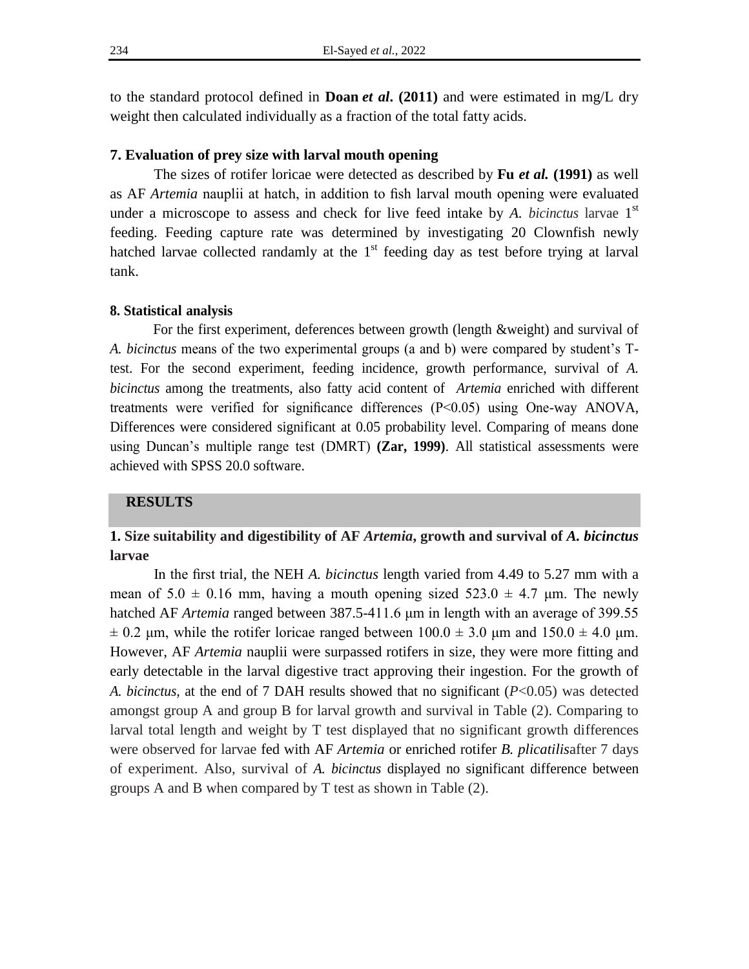to the standard protocol defined in **Doan** *et al***. (2011)** and were estimated in mg/L dry weight then calculated individually as a fraction of the total fatty acids.

#### **7. Evaluation of prey size with larval mouth opening**

The sizes of rotifer loricae were detected as described by **Fu** *et al.* **(1991)** as well as AF *Artemia* nauplii at hatch, in addition to fish larval mouth opening were evaluated under a microscope to assess and check for live feed intake by *A. bicinctus* larvae 1<sup>st</sup> feeding. Feeding capture rate was determined by investigating 20 Clownfish newly hatched larvae collected randamly at the  $1<sup>st</sup>$  feeding day as test before trying at larval tank.

#### **8. Statistical analysis**

For the first experiment, deferences between growth (length &weight) and survival of *A. bicinctus* means of the two experimental groups (a and b) were compared by student's Ttest. For the second experiment, feeding incidence, growth performance, survival of *A. bicinctus* among the treatments, also fatty acid content of *Artemia* enriched with different treatments were verified for significance differences (P<0.05) using One-way ANOVA, Differences were considered significant at 0.05 probability level. Comparing of means done using Duncan's multiple range test (DMRT) **(Zar, 1999)**. All statistical assessments were achieved with SPSS 20.0 software.

#### **RESULTS**

# **1. Size suitability and digestibility of AF** *Artemia***, growth and survival of** *A. bicinctus* **larvae**

In the first trial*,* the NEH *A. bicinctus* length varied from 4.49 to 5.27 mm with a mean of  $5.0 \pm 0.16$  mm, having a mouth opening sized  $523.0 \pm 4.7$  µm. The newly hatched AF *Artemia* ranged between 387.5-411.6 μm in length with an average of 399.55  $\pm$  0.2 μm, while the rotifer loricae ranged between 100.0  $\pm$  3.0 μm and 150.0  $\pm$  4.0 μm. However, AF *Artemia* nauplii were surpassed rotifers in size, they were more fitting and early detectable in the larval digestive tract approving their ingestion. For the growth of *A. bicinctus,* at the end of 7 DAH results showed that no significant (*P*<0.05) was detected amongst group A and group B for larval growth and survival in Table (2). Comparing to larval total length and weight by T test displayed that no significant growth differences were observed for larvae fed with AF *Artemia* or enriched rotifer *B. plicatilis*after 7 days of experiment. Also, survival of *A. bicinctus* displayed no significant difference between groups A and B when compared by T test as shown in Table (2).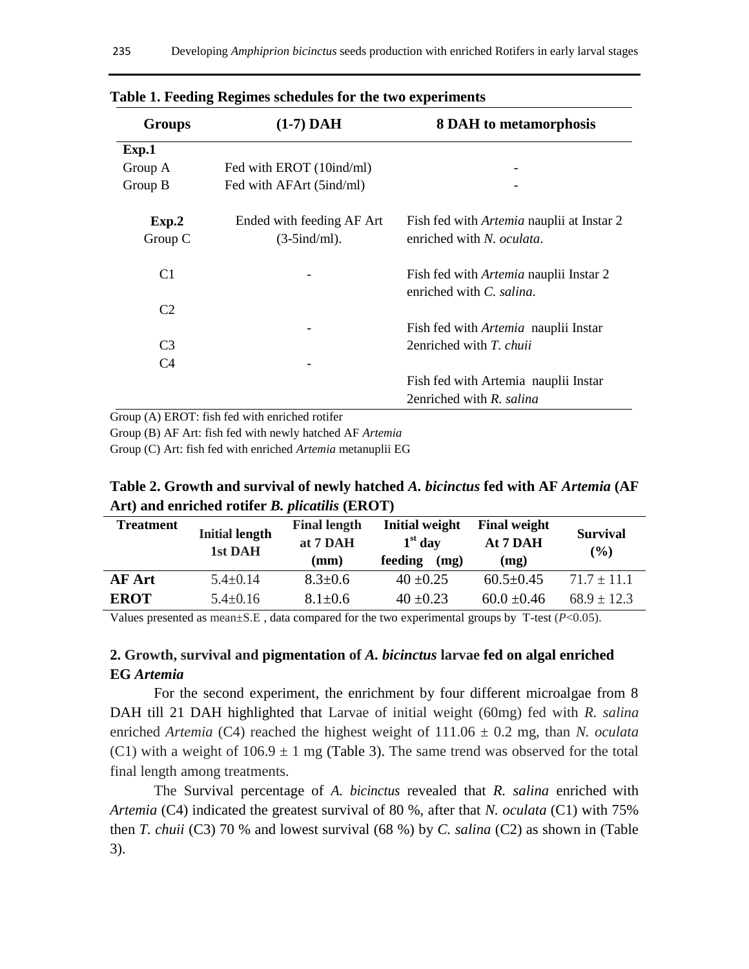| <b>Groups</b>    | $(1-7)$ DAH                                  | <b>8 DAH</b> to metamorphosis                                                 |  |  |
|------------------|----------------------------------------------|-------------------------------------------------------------------------------|--|--|
| Exp.1            |                                              |                                                                               |  |  |
| Group A          | Fed with EROT (10ind/ml)                     |                                                                               |  |  |
| Group B          | Fed with AFArt (5ind/ml)                     |                                                                               |  |  |
| Exp.2<br>Group C | Ended with feeding AF Art<br>$(3-5ind/ml)$ . | Fish fed with <i>Artemia</i> nauplii at Instar 2<br>enriched with N. oculata. |  |  |
| C <sub>1</sub>   |                                              | Fish fed with <i>Artemia</i> nauplii Instar 2<br>enriched with C. salina.     |  |  |
| C <sub>2</sub>   |                                              |                                                                               |  |  |
|                  |                                              | Fish fed with <i>Artemia</i> nauplii Instar                                   |  |  |
| C <sub>3</sub>   |                                              | 2enriched with T. chuii                                                       |  |  |
| C <sub>4</sub>   |                                              |                                                                               |  |  |
|                  |                                              | Fish fed with Artemia nauplii Instar                                          |  |  |
|                  |                                              | 2enriched with R. salina                                                      |  |  |

**Table 1. Feeding Regimes schedules for the two experiments**

Group (A) EROT: fish fed with enriched rotifer

Group (B) AF Art: fish fed with newly hatched AF *Artemia*

Group (C) Art: fish fed with enriched *Artemia* metanuplii EG

**Table 2. Growth and survival of newly hatched** *A. bicinctus* **fed with AF** *Artemia* **(AF Art) and enriched rotifer** *B. plicatilis* **(EROT)** 

| <b>Treatment</b> | <b>Initial length</b><br>1st DAH | <b>Final length</b><br>at 7 DAH<br>(mm) | <b>Initial weight</b><br>$1st$ day<br>feeding<br>(mg) | <b>Final weight</b><br>At 7 DAH<br>(mg) | <b>Survival</b><br>(%) |
|------------------|----------------------------------|-----------------------------------------|-------------------------------------------------------|-----------------------------------------|------------------------|
| <b>AF Art</b>    | $5.4 \pm 0.14$                   | $8.3 \pm 0.6$                           | $40 + 0.25$                                           | $60.5 \pm 0.45$                         | $71.7 \pm 11.1$        |
| <b>EROT</b>      | $5.4 \pm 0.16$                   | $8.1 \pm 0.6$                           | $40 \pm 0.23$                                         | $60.0 \pm 0.46$                         | $68.9 \pm 12.3$        |

Values presented as mean $\pm$ S.E, data compared for the two experimental groups by T-test ( $P$ <0.05).

## **2. Growth, survival and pigmentation of** *A. bicinctus* **larvae fed on algal enriched EG** *Artemia*

For the second experiment, the enrichment by four different microalgae from 8 DAH till 21 DAH highlighted that Larvae of initial weight (60mg) fed with *R. salina* enriched *Artemia* (C4) reached the highest weight of 111.06 ± 0.2 mg, than *N. oculata* (C1) with a weight of  $106.9 \pm 1$  mg (Table 3). The same trend was observed for the total final length among treatments.

The Survival percentage of *A. bicinctus* revealed that *R. salina* enriched with *Artemia* (C4) indicated the greatest survival of 80 %, after that *N. oculata* (C1) with 75% then *T. chuii* (C3) 70 % and lowest survival (68 %) by *C. salina* (C2) as shown in (Table 3).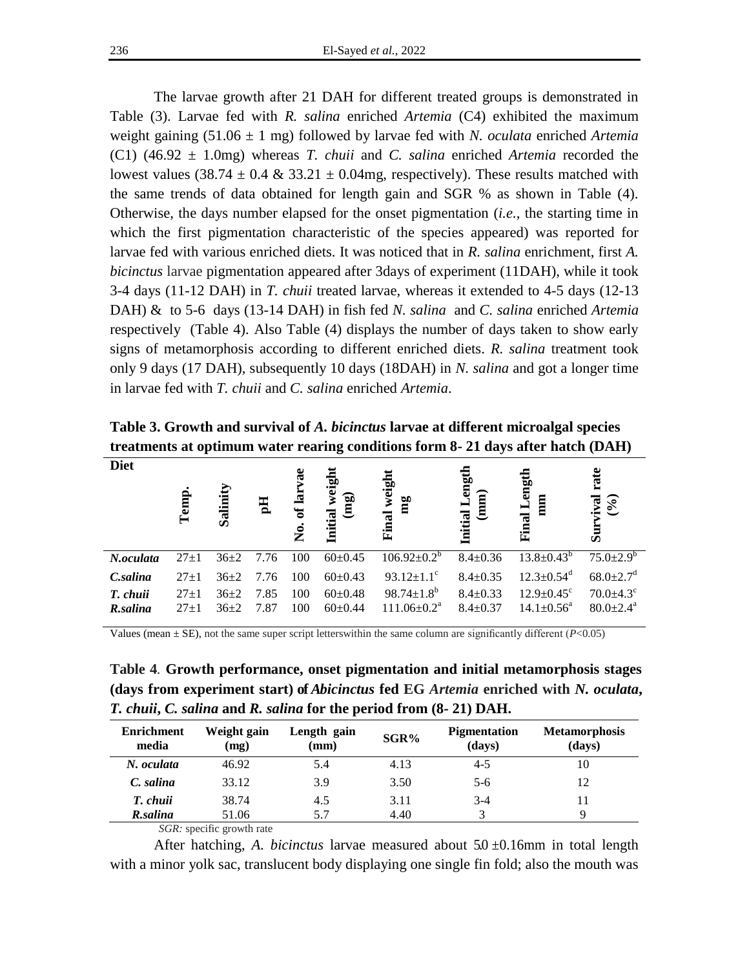The larvae growth after 21 DAH for different treated groups is demonstrated in Table (3). Larvae fed with *R. salina* enriched *Artemia* (C4) exhibited the maximum weight gaining (51.06 ± 1 mg) followed by larvae fed with *N. oculata* enriched *Artemia*  (C1) (46.92 ± 1.0mg) whereas *T. chuii* and *C. salina* enriched *Artemia* recorded the lowest values (38.74  $\pm$  0.4 & 33.21  $\pm$  0.04mg, respectively). These results matched with the same trends of data obtained for length gain and SGR % as shown in Table (4). Otherwise, the days number elapsed for the onset pigmentation (*i.e.,* the starting time in which the first pigmentation characteristic of the species appeared) was reported for larvae fed with various enriched diets. It was noticed that in *R. salina* enrichment, first *A. bicinctus* larvae pigmentation appeared after 3days of experiment (11DAH), while it took 3-4 days (11-12 DAH) in *T. chuii* treated larvae, whereas it extended to 4-5 days (12-13 DAH) & to 5-6 days (13-14 DAH) in fish fed *N. salina* and *C. salina* enriched *Artemia* respectively (Table 4). Also Table (4) displays the number of days taken to show early signs of metamorphosis according to different enriched diets. *R. salina* treatment took only 9 days (17 DAH), subsequently 10 days (18DAH) in *N. salina* and got a longer time in larvae fed with *T. chuii* and *C. salina* enriched *Artemia*.

**Table 3. Growth and survival of** *A. bicinctus* **larvae at different microalgal species treatments at optimum water rearing conditions form 8- 21 days after hatch (DAH)** 

| <b>Diet</b>          | Temp             | Salinity             | 핌            | ច្ច<br><u>ន</u><br>ಕ<br>。<br>Z | weigh<br>$\mathbf{a}$<br>토<br>Initial | weigh<br>mg<br><b>a</b><br>闰                     | eng<br>ਛੇ<br>Initial<br>트        | Lengt<br>mm<br><b>Final</b>                                | rate<br>(9/6)<br>$\overline{\mathbf{R}}$<br>ius<br>Sur |
|----------------------|------------------|----------------------|--------------|--------------------------------|---------------------------------------|--------------------------------------------------|----------------------------------|------------------------------------------------------------|--------------------------------------------------------|
| N.oculata            | $27+1$           | $36\pm2$             | 7.76         | 100                            | $60\pm0.45$                           | $106.92 \pm 0.2^b$                               | $8.4 \pm 0.36$                   | $13.8 \pm 0.43^b$                                          | $75.0{\pm}2.9^b$                                       |
| C.salina             | $27+1$           | $36\pm2$             | 7.76         | 100                            | $60\pm0.43$                           | $93.12 \pm 1.1$ <sup>c</sup>                     | $8.4 \pm 0.35$                   | $12.3 \pm 0.54$ <sup>d</sup>                               | $68.0 \pm 2.7$ <sup>d</sup>                            |
| T. chuii<br>R.salina | $27+1$<br>$27+1$ | $36\pm2$<br>$36\pm2$ | 7.85<br>7.87 | 100<br>100                     | $60\pm0.48$<br>$60\pm0.44$            | $98.74 \pm 1.8^b$<br>$111.06 \pm 0.2^{\text{a}}$ | $8.4 \pm 0.33$<br>$8.4 \pm 0.37$ | $12.9 \pm 0.45$ <sup>c</sup><br>$14.1 \pm 0.56^{\text{a}}$ | $70.0 \pm 4.3$ °<br>$80.0 \pm 2.4^{\circ}$             |

Values (mean  $\pm$  SE), not the same super script letters within the same column are significantly different ( $P$ <0.05)

**Table 4***.* **Growth performance, onset pigmentation and initial metamorphosis stages (days from experiment start) of** *Abicinctus* **fed EG** *Artemia* **enriched with** *N. oculata***,**  *T. chuii***,** *C. salina* **and** *R. salina* **for the period from (8- 21) DAH.**

| <b>Enrichment</b><br>media       | Weight gain<br>(mg) | Length gain<br>mm) | SGR% | <b>Pigmentation</b><br>(days) | <b>Metamorphosis</b><br>(days) |  |
|----------------------------------|---------------------|--------------------|------|-------------------------------|--------------------------------|--|
| N. oculata                       | 46.92               | 5.4                | 4.13 | $4 - 5$                       | 10                             |  |
| C. salina                        | 33.12               | 3.9                | 3.50 | $5-6$                         | 12                             |  |
| T. chuii                         | 38.74               | 4.5                | 3.11 | $3-4$                         |                                |  |
| R.salina<br>$\sim$ $\sim$ $\sim$ | 51.06<br>$\sim$     | 5.7                | 4.40 |                               | Q                              |  |

*SGR:* specific growth rate

After hatching, *A. bicinctus* larvae measured about 5.0 ±0.16mm in total length with a minor yolk sac, translucent body displaying one single fin fold; also the mouth was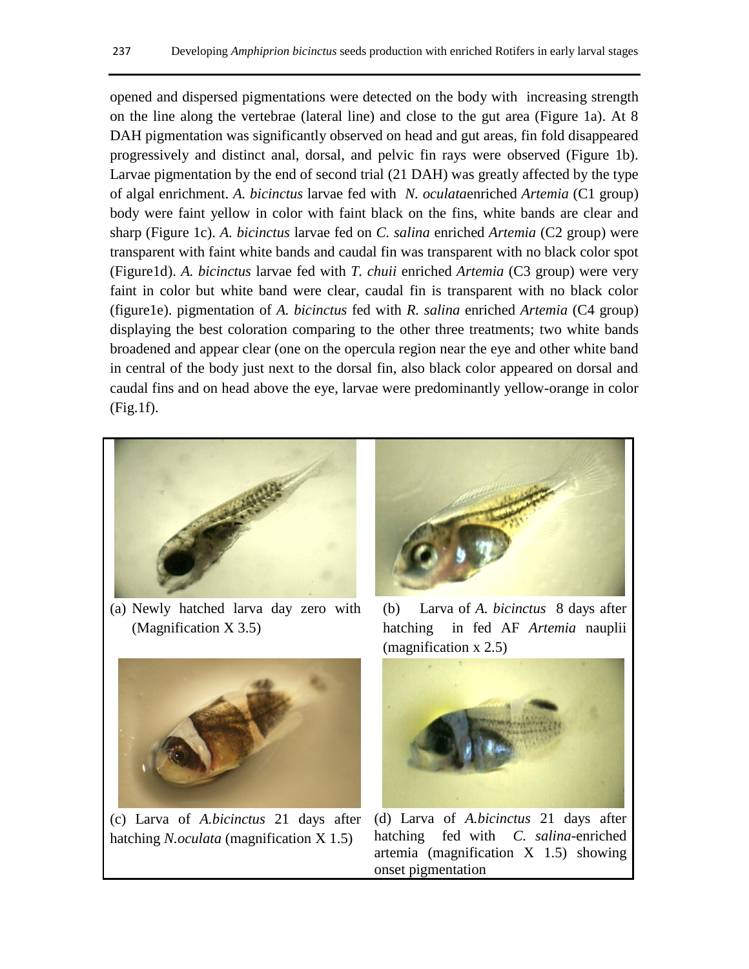opened and dispersed pigmentations were detected on the body with increasing strength on the line along the vertebrae (lateral line) and close to the gut area (Figure 1a). At 8 DAH pigmentation was significantly observed on head and gut areas, fin fold disappeared progressively and distinct anal, dorsal, and pelvic fin rays were observed (Figure 1b). Larvae pigmentation by the end of second trial (21 DAH) was greatly affected by the type of algal enrichment. *A. bicinctus* larvae fed with *N. oculata*enriched *Artemia* (C1 group) body were faint yellow in color with faint black on the fins, white bands are clear and sharp (Figure 1c). *A. bicinctus* larvae fed on *C. salina* enriched *Artemia* (C2 group) were transparent with faint white bands and caudal fin was transparent with no black color spot (Figure1d). *A. bicinctus* larvae fed with *T. chuii* enriched *Artemia* (C3 group) were very faint in color but white band were clear, caudal fin is transparent with no black color (figure1e). pigmentation of *A. bicinctus* fed with *R. salina* enriched *Artemia* (C4 group) displaying the best coloration comparing to the other three treatments; two white bands broadened and appear clear (one on the opercula region near the eye and other white band in central of the body just next to the dorsal fin, also black color appeared on dorsal and caudal fins and on head above the eye, larvae were predominantly yellow-orange in color (Fig.1f).



(a) Newly hatched larva day zero with (Magnification X 3.5)



(c) Larva of *A.bicinctus* 21 days after hatching *N.oculata* (magnification X 1.5)



(b) Larva of *A. bicinctus* 8 days after hatching in fed AF *Artemia* nauplii (magnification x 2.5)



(d) Larva of *A.bicinctus* 21 days after hatching fed with *C. salina*-enriched artemia (magnification X 1.5) showing onset pigmentation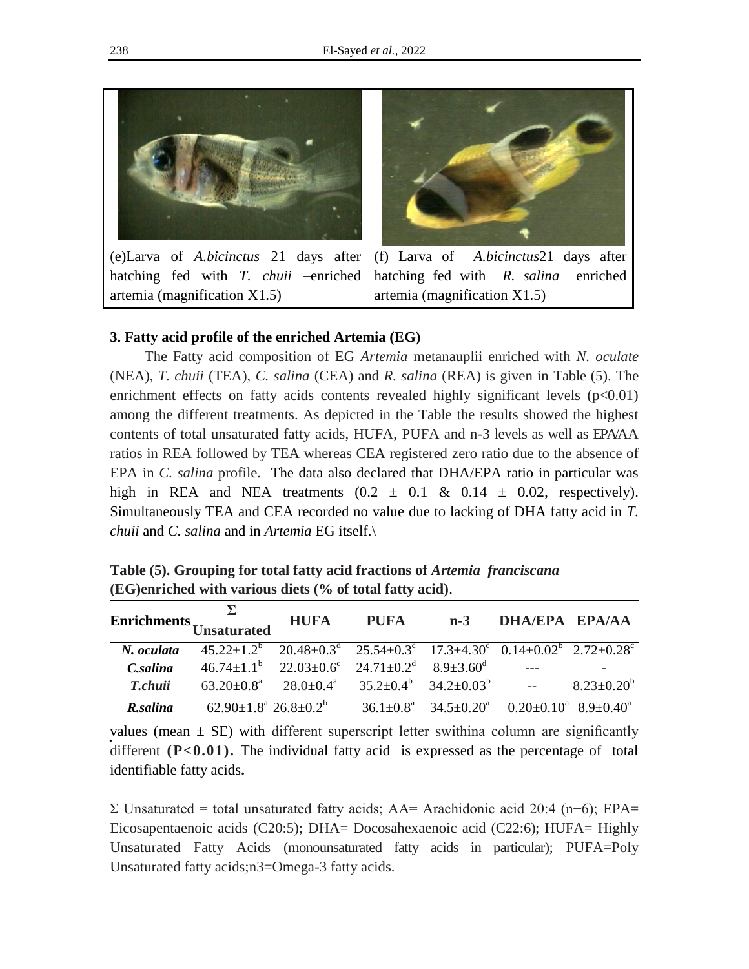

(e)Larva of *A.bicinctus* 21 days after artemia (magnification X1.5)



hatching fed with *T. chuii* –enriched hatching fed with *R. salina* enriched (f) Larva of *A.bicinctus*21 days after artemia (magnification X1.5)

#### **3. Fatty acid profile of the enriched Artemia (EG)**

The Fatty acid composition of EG *Artemia* metanauplii enriched with *N. oculate*  (NEA), *T. chuii* (TEA), *C. salina* (CEA) and *R. salina* (REA) is given in Table (5). The enrichment effects on fatty acids contents revealed highly significant levels  $(p<0.01)$ among the different treatments. As depicted in the Table the results showed the highest contents of total unsaturated fatty acids, HUFA, PUFA and n-3 levels as well as EPA/AA ratios in REA followed by TEA whereas CEA registered zero ratio due to the absence of EPA in *C. salina* profile. The data also declared that DHA/EPA ratio in particular was high in REA and NEA treatments  $(0.2 \pm 0.1 \& 0.14 \pm 0.02)$ , respectively). Simultaneously TEA and CEA recorded no value due to lacking of DHA fatty acid in *T. chuii* and *C. salina* and in *Artemia* EG itself.\

| Enrichments $\sum_{\text{Unsaturated}}$ HUFA PUFA n-3 DHA/EPA EPA/AA |                                                                                                             |  |                                                               |  |
|----------------------------------------------------------------------|-------------------------------------------------------------------------------------------------------------|--|---------------------------------------------------------------|--|
| N. oculata                                                           | $45.22 \pm 1.2^b$ $20.48 \pm 0.3^d$ $25.54 \pm 0.3^c$ $17.3 \pm 4.30^c$ $0.14 \pm 0.02^b$ $2.72 \pm 0.28^c$ |  |                                                               |  |
| <i>C.salina</i>                                                      | $46.74 \pm 1.1^b$ $22.03 \pm 0.6^c$ $24.71 \pm 0.2^d$ $8.9 \pm 3.60^d$                                      |  |                                                               |  |
| <i>T.chuii</i>                                                       | $63.20 \pm 0.8^a$ $28.0 \pm 0.4^a$ $35.2 \pm 0.4^b$ $34.2 \pm 0.03^b$ -- $8.23 \pm 0.20^b$                  |  |                                                               |  |
| R.salina                                                             | $62.90 \pm 1.8^{\text{a}}$ 26.8 $\pm$ 0.2 <sup>b</sup>                                                      |  | $36.1\pm0.8^a$ $34.5\pm0.20^a$ $0.20\pm0.10^a$ $8.9\pm0.40^a$ |  |

**Table (5). Grouping for total fatty acid fractions of** *Artemia franciscana* **(EG)enriched with various diets (% of total fatty acid)**.

values (mean  $\pm$  SE) with different superscript letter swithina column are significantly different  $(P<0.01)$ . The individual fatty acid is expressed as the percentage of total identifiable fatty acids**.**

Σ Unsaturated = total unsaturated fatty acids; AA= Arachidonic acid 20:4 (n−6); EPA= Eicosapentaenoic acids (C20:5); DHA= Docosahexaenoic acid (C22:6); HUFA= Highly Unsaturated Fatty Acids (monounsaturated fatty acids in particular); PUFA=Poly Unsaturated fatty acids;n3=Omega-3 fatty acids.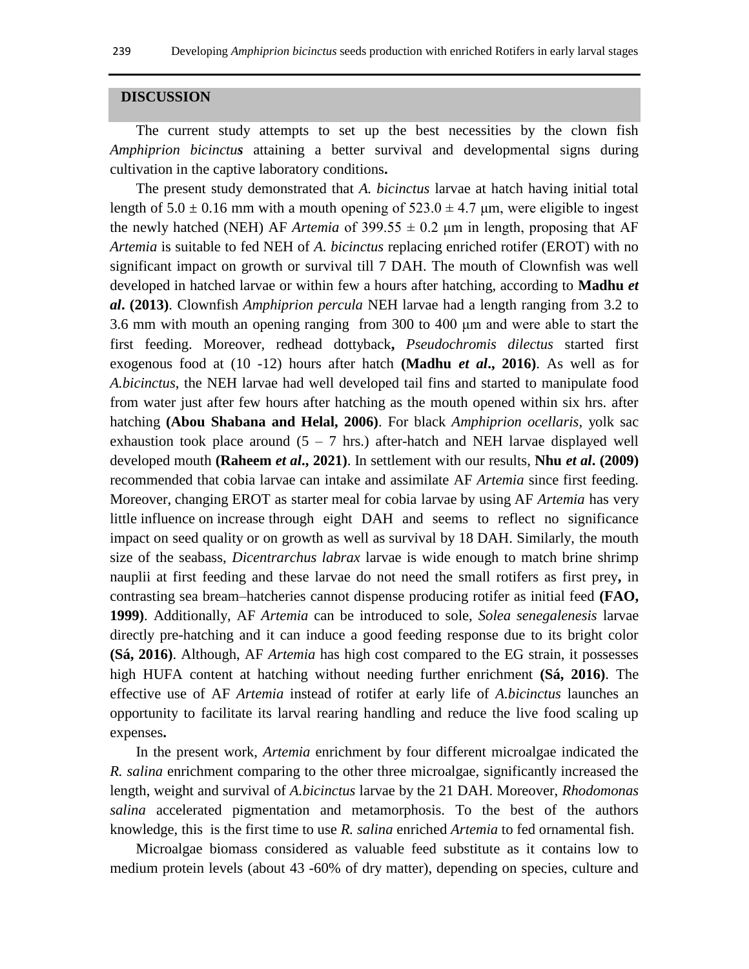#### **DISCUSSION**

The current study attempts to set up the best necessities by the clown fish *Amphiprion bicinctus* attaining a better survival and developmental signs during cultivation in the captive laboratory conditions**.**

The present study demonstrated that *A. bicinctus* larvae at hatch having initial total length of  $5.0 \pm 0.16$  mm with a mouth opening of  $523.0 \pm 4.7$  µm, were eligible to ingest the newly hatched (NEH) AF *Artemia* of  $399.55 \pm 0.2$  µm in length, proposing that AF *Artemia* is suitable to fed NEH of *A. bicinctus* replacing enriched rotifer (EROT) with no significant impact on growth or survival till 7 DAH. The mouth of Clownfish was well developed in hatched larvae or within few a hours after hatching, according to **Madhu** *et al***. (2013)**. Clownfish *Amphiprion percula* NEH larvae had a length ranging from 3.2 to 3.6 mm with mouth an opening ranging from 300 to 400 μm and were able to start the first feeding. Moreover, redhead dottyback**,** *Pseudochromis dilectus* started first exogenous food at (10 -12) hours after hatch **(Madhu** *et al***., 2016)**. As well as for *A.bicinctus*, the NEH larvae had well developed tail fins and started to manipulate food from water just after few hours after hatching as the mouth opened within six hrs. after hatching **(Abou Shabana and Helal, 2006)**. For black *Amphiprion ocellaris,* yolk sac exhaustion took place around  $(5 - 7)$  hrs.) after-hatch and NEH larvae displayed well developed mouth **(Raheem** *et al***., 2021)**. In settlement with our results, **Nhu** *et al***. (2009)** recommended that cobia larvae can intake and assimilate AF *Artemia* since first feeding. Moreover, changing EROT as starter meal for cobia larvae by using AF *Artemia* has very little influence on increase through eight DAH and seems to reflect no significance impact on seed quality or on growth as well as survival by 18 DAH. Similarly, the mouth size of the seabass, *Dicentrarchus labrax* larvae is wide enough to match brine shrimp nauplii at first feeding and these larvae do not need the small rotifers as first prey**,** in contrasting sea bream–hatcheries cannot dispense producing rotifer as initial feed **(FAO, 1999)**. Additionally, AF *Artemia* can be introduced to sole, *Solea senegalenesis* larvae directly pre-hatching and it can induce a good feeding response due to its bright color **(Sá, 2016)**. Although, AF *Artemia* has high cost compared to the EG strain, it possesses high HUFA content at hatching without needing further enrichment **(Sá, 2016)**. The effective use of AF *Artemia* instead of rotifer at early life of *A.bicinctus* launches an opportunity to facilitate its larval rearing handling and reduce the live food scaling up expenses**.**

In the present work, *Artemia* enrichment by four different microalgae indicated the *R. salina* enrichment comparing to the other three microalgae, significantly increased the length, weight and survival of *A.bicinctus* larvae by the 21 DAH. Moreover, *Rhodomonas salina* accelerated pigmentation and metamorphosis. To the best of the authors knowledge, this is the first time to use *R. salina* enriched *Artemia* to fed ornamental fish.

Microalgae biomass considered as valuable feed substitute as it contains low to medium protein levels (about 43 -60% of dry matter), depending on species, culture and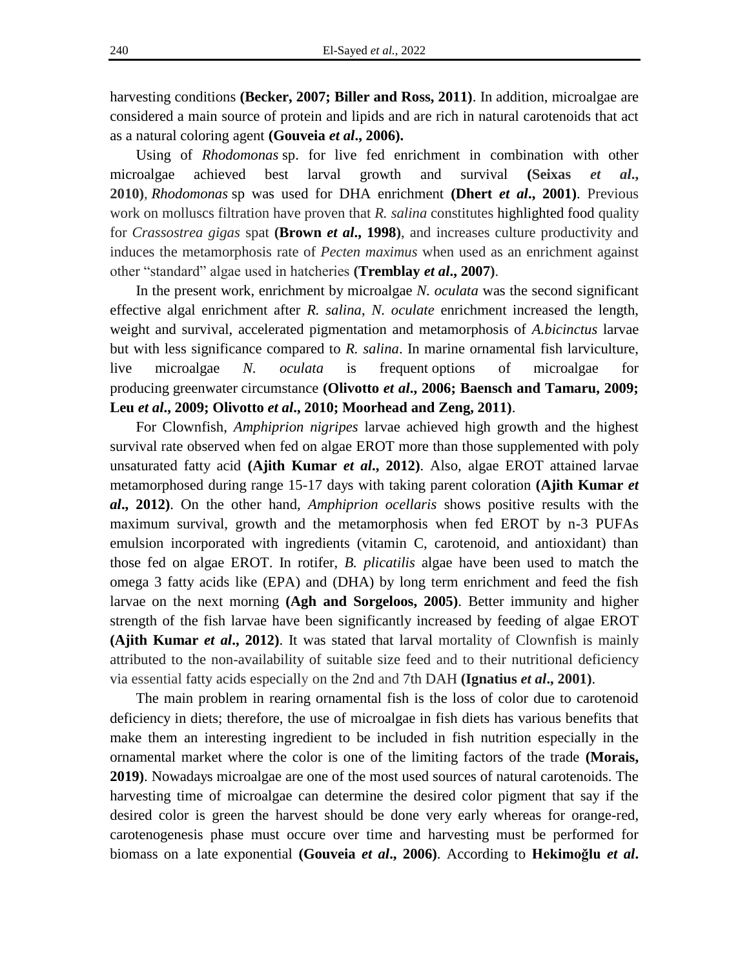harvesting conditions **(Becker, 2007; Biller and Ross, 2011)**. In addition, microalgae are considered a main source of protein and lipids and are rich in natural carotenoids that act as a natural coloring agent **(Gouveia** *et al***., 2006).**

Using of *Rhodomonas* sp. for live fed enrichment in combination with other microalgae achieved best larval growth and survival **(Seixas** *et al***., 2010)**, *Rhodomonas* sp was used for DHA enrichment **(Dhert** *et al***., 2001)**. Previous work on molluscs filtration have proven that *R. salina* constitutes highlighted food quality for *Crassostrea gigas* spat **(Brown** *et al***., 1998)**, and increases culture productivity and induces the metamorphosis rate of *Pecten maximus* when used as an enrichment against other "standard" algae used in hatcheries **(Tremblay** *et al***., 2007)**.

In the present work, enrichment by microalgae *N. oculata* was the second significant effective algal enrichment after *R. salina*, *N. oculate* enrichment increased the length, weight and survival, accelerated pigmentation and metamorphosis of *A.bicinctus* larvae but with less significance compared to *R. salina*. In marine ornamental fish larviculture, live microalgae *N. oculata* is frequent options of microalgae for producing greenwater circumstance **(Olivotto** *et al***., 2006; Baensch and Tamaru, 2009; Leu** *et al***., 2009; Olivotto** *et al***., 2010; Moorhead and Zeng, 2011)**.

For Clownfish, *Amphiprion nigripes* larvae achieved high growth and the highest survival rate observed when fed on algae EROT more than those supplemented with poly unsaturated fatty acid **(Ajith Kumar** *et al***., 2012)**. Also, algae EROT attained larvae metamorphosed during range 15-17 days with taking parent coloration **(Ajith Kumar** *et al***., 2012)**. On the other hand, *Amphiprion ocellaris* shows positive results with the maximum survival, growth and the metamorphosis when fed EROT by n-3 PUFAs emulsion incorporated with ingredients (vitamin C, carotenoid, and antioxidant) than those fed on algae EROT. In rotifer, *B. plicatilis* algae have been used to match the omega 3 fatty acids like (EPA) and (DHA) by long term enrichment and feed the fish larvae on the next morning **(Agh and Sorgeloos, 2005)**. Better immunity and higher strength of the fish larvae have been significantly increased by feeding of algae EROT **(Ajith Kumar** *et al***., 2012)**. It was stated that larval mortality of Clownfish is mainly attributed to the non-availability of suitable size feed and to their nutritional deficiency via essential fatty acids especially on the 2nd and 7th DAH **(Ignatius** *et al***., 2001)**.

The main problem in rearing ornamental fish is the loss of color due to carotenoid deficiency in diets; therefore, the use of microalgae in fish diets has various benefits that make them an interesting ingredient to be included in fish nutrition especially in the ornamental market where the color is one of the limiting factors of the trade **(Morais, 2019)**. Nowadays microalgae are one of the most used sources of natural carotenoids. The harvesting time of microalgae can determine the desired color pigment that say if the desired color is green the harvest should be done very early whereas for orange-red, carotenogenesis phase must occure over time and harvesting must be performed for biomass on a late exponential **(Gouveia** *et al***., 2006)**. According to **Hekimoğlu** *et al***.**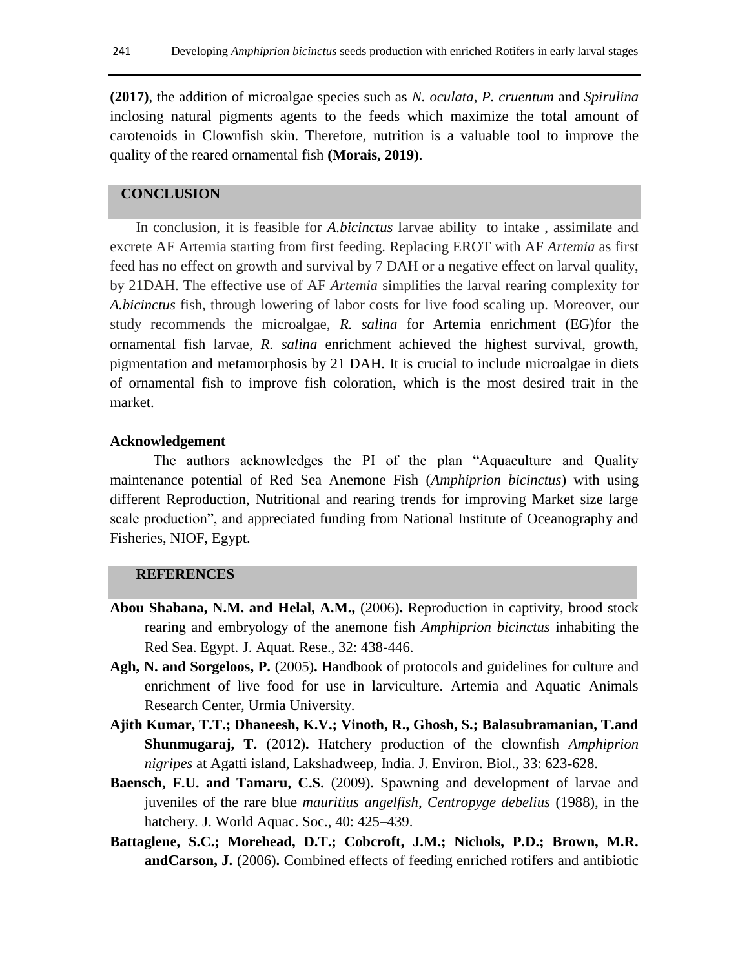**(2017)**, the addition of microalgae species such as *N. oculata*, *P. cruentum* and *Spirulina*  inclosing natural pigments agents to the feeds which maximize the total amount of carotenoids in Clownfish skin. Therefore, nutrition is a valuable tool to improve the quality of the reared ornamental fish **(Morais, 2019)**.

## **CONCLUSION**

In conclusion, it is feasible for *A.bicinctus* larvae ability to intake , assimilate and excrete AF Artemia starting from first feeding. Replacing EROT with AF *Artemia* as first feed has no effect on growth and survival by 7 DAH or a negative effect on larval quality, by 21DAH. The effective use of AF *Artemia* simplifies the larval rearing complexity for *A.bicinctus* fish, through lowering of labor costs for live food scaling up. Moreover, our study recommends the microalgae, *R. salina* for Artemia enrichment (EG)for the ornamental fish larvae, *R. salina* enrichment achieved the highest survival, growth, pigmentation and metamorphosis by 21 DAH*.* It is crucial to include microalgae in diets of ornamental fish to improve fish coloration, which is the most desired trait in the market.

#### **Acknowledgement**

The authors acknowledges the PI of the plan "Aquaculture and Quality maintenance potential of Red Sea Anemone Fish (*Amphiprion bicinctus*) with using different Reproduction, Nutritional and rearing trends for improving Market size large scale production", and appreciated funding from National Institute of Oceanography and Fisheries, NIOF, Egypt.

#### **REFERENCES**

- **Abou Shabana, N.M. and Helal, A.M.,** (2006)**.** Reproduction in captivity, brood stock rearing and embryology of the anemone fish *Amphiprion bicinctus* inhabiting the Red Sea. Egypt. J. Aquat. Rese., 32: 438-446.
- **Agh, N. and Sorgeloos, P.** (2005)**.** Handbook of protocols and guidelines for culture and enrichment of live food for use in larviculture. Artemia and Aquatic Animals Research Center, Urmia University.
- **Ajith Kumar, T.T.; Dhaneesh, K.V.; Vinoth, R., Ghosh, S.; Balasubramanian, T.and Shunmugaraj, T.** (2012)**.** Hatchery production of the clownfish *Amphiprion nigripes* at Agatti island, Lakshadweep, India. J. Environ. Biol., 33: 623-628.
- **Baensch, F.U. and Tamaru, C.S.** (2009)**.** Spawning and development of larvae and juveniles of the rare blue *mauritius angelfish*, *Centropyge debelius* (1988), in the hatchery. J. World Aquac. Soc., 40: 425–439.
- **Battaglene, S.C.; Morehead, D.T.; Cobcroft, J.M.; Nichols, P.D.; Brown, M.R. andCarson, J.** (2006)**.** Combined effects of feeding enriched rotifers and antibiotic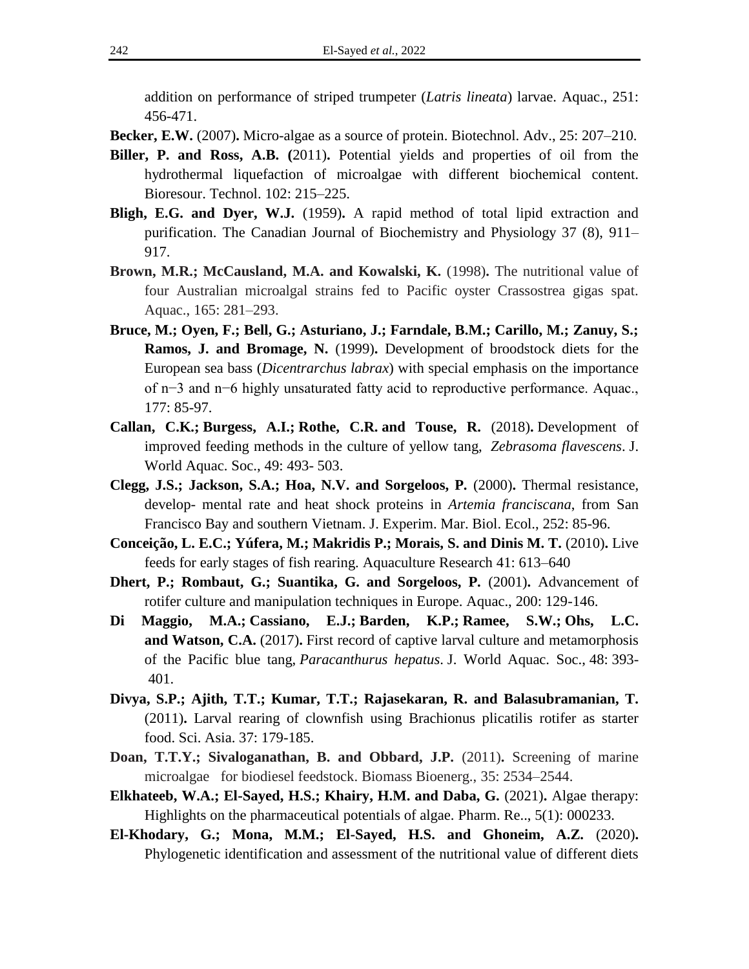addition on performance of striped trumpeter (*Latris lineata*) larvae. Aquac., 251: 456-471.

**Becker, E.W.** (2007)**.** Micro-algae as a source of protein. Biotechnol. Adv., 25: 207–210.

- **Biller, P. and Ross, A.B. (**2011)**.** Potential yields and properties of oil from the hydrothermal liquefaction of microalgae with different biochemical content. Bioresour. Technol. 102: 215–225.
- **Bligh, E.G. and Dyer, W.J.** (1959)**.** A rapid method of total lipid extraction and purification. The Canadian Journal of Biochemistry and Physiology 37 (8), 911– 917.
- **Brown, M.R.; McCausland, M.A. and Kowalski, K.** (1998)**.** The nutritional value of four Australian microalgal strains fed to Pacific oyster Crassostrea gigas spat. Aquac., 165: 281–293.
- **Bruce, M.; Oyen, F.; Bell, G.; Asturiano, J.; Farndale, B.M.; Carillo, M.; Zanuy, S.; Ramos, J. and Bromage, N.** (1999)**.** Development of broodstock diets for the European sea bass (*Dicentrarchus labrax*) with special emphasis on the importance of n−3 and n−6 highly unsaturated fatty acid to reproductive performance. Aquac., 177: 85-97.
- **Callan, C.K.; Burgess, A.I.; Rothe, C.R. and Touse, R.** (2018)**.** Development of improved feeding methods in the culture of yellow tang, *Zebrasoma flavescens*. J. World Aquac. Soc., 49: 493- 503.
- **Clegg, J.S.; Jackson, S.A.; Hoa, N.V. and Sorgeloos, P.** (2000)**.** Thermal resistance, develop- mental rate and heat shock proteins in *Artemia franciscana*, from San Francisco Bay and southern Vietnam. J. Experim. Mar. Biol. Ecol., 252: 85-96.
- **Conceição, L. E.C.; Yúfera, M.; Makridis P.; Morais, S. and Dinis M. T.** (2010)**.** Live feeds for early stages of fish rearing. Aquaculture Research 41: 613–640
- **Dhert, P.; Rombaut, G.; Suantika, G. and Sorgeloos, P. (2001). Advancement of** rotifer culture and manipulation techniques in Europe. Aquac., 200: 129-146.
- **Di Maggio, M.A.; Cassiano, E.J.; Barden, K.P.; Ramee, S.W.; Ohs, L.C. and Watson, C.A.** (2017)**.** First record of captive larval culture and metamorphosis of the Pacific blue tang, *Paracanthurus hepatus*. J. World Aquac. Soc., 48: 393- 401.
- **Divya, S.P.; Ajith, T.T.; Kumar, T.T.; Rajasekaran, R. and Balasubramanian, T.**  (2011)**.** Larval rearing of clownfish using Brachionus plicatilis rotifer as starter food. Sci. Asia. 37: 179-185.
- **Doan, T.T.Y.; Sivaloganathan, B. and Obbard, J.P.** (2011)**.** Screening of marine microalgae for biodiesel feedstock. Biomass Bioenerg., 35: 2534–2544.
- **Elkhateeb, W.A.; El-Sayed, H.S.; Khairy, H.M. and Daba, G. (2021). Algae therapy:** Highlights on the pharmaceutical potentials of algae. Pharm. Re.., 5(1): 000233.
- **El-Khodary, G.; Mona, M.M.; El-Sayed, H.S. and Ghoneim, A.Z.** (2020)**.**  Phylogenetic identification and assessment of the nutritional value of different diets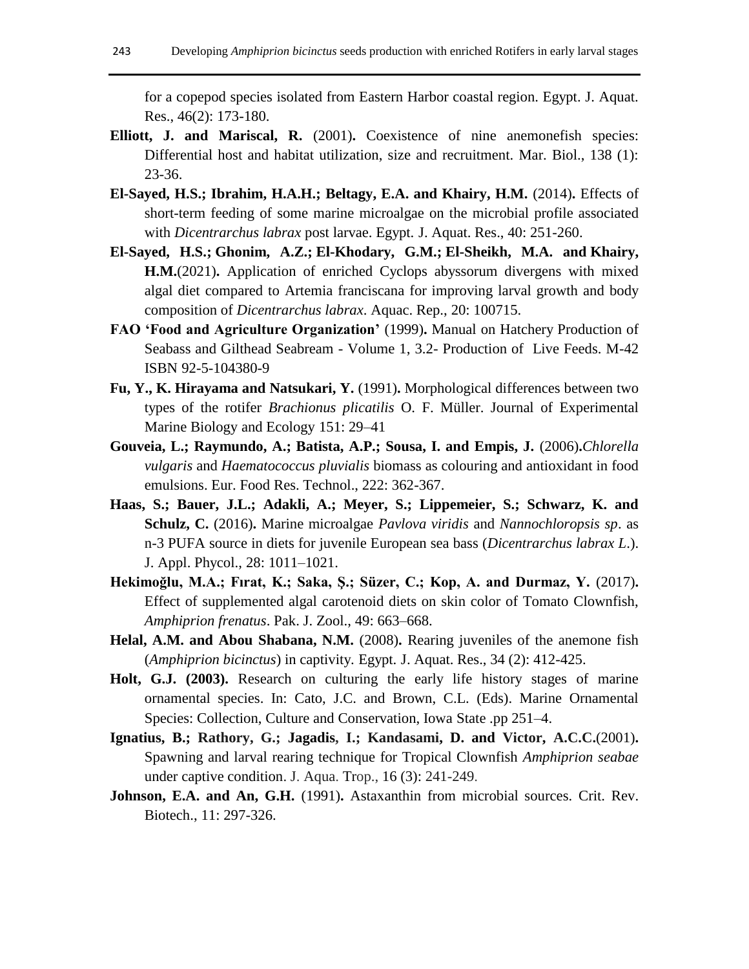for a copepod species isolated from Eastern Harbor coastal region. Egypt. J. Aquat. Res., 46(2): 173-180.

- **Elliott, J. and Mariscal, R.** (2001)**.** Coexistence of nine anemonefish species: Differential host and habitat utilization, size and recruitment. Mar. Biol., 138 (1): 23-36.
- **El-Sayed, H.S.; Ibrahim, H.A.H.; Beltagy, E.A. and Khairy, H.M.** (2014)**.** Effects of short-term feeding of some marine microalgae on the microbial profile associated with *Dicentrarchus labrax* post larvae. Egypt. J. Aquat. Res., 40: 251-260.
- **[El-Sayed, H.S.;](https://www.scopus.com/authid/detail.uri?authorId=54894298800) [Ghonim, A.Z.;](https://www.scopus.com/authid/detail.uri?authorId=57223277462) [El-Khodary, G.M.;](https://www.scopus.com/authid/detail.uri?authorId=57210144118) [El-Sheikh, M.A.](https://www.scopus.com/authid/detail.uri?authorId=8429327500) and [Khairy,](https://www.scopus.com/authid/detail.uri?authorId=36088936800)  [H.M.](https://www.scopus.com/authid/detail.uri?authorId=36088936800)**(2021)**.** Application of enriched Cyclops abyssorum divergens with mixed algal diet compared to Artemia franciscana for improving larval growth and body composition of *Dicentrarchus labrax*. [Aquac. Rep.,](https://www.scopus.com/authid/detail.uri?authorId=54894298800#disabled) 20: 100715.
- **FAO 'Food and Agriculture Organization'** (1999)**.** Manual on Hatchery Production of Seabass and Gilthead Seabream - Volume 1, 3.2- Production of Live Feeds. M-42 ISBN 92-5-104380-9
- **Fu, Y., K. Hirayama and Natsukari, Y.** (1991)**.** Morphological differences between two types of the rotifer *Brachionus plicatilis* O. F. Müller. Journal of Experimental Marine Biology and Ecology 151: 29–41
- **Gouveia, L.; Raymundo, A.; Batista, A.P.; Sousa, I. and Empis, J.** (2006)**.***Chlorella vulgaris* and *Haematococcus pluvialis* biomass as colouring and antioxidant in food emulsions. Eur. Food Res. Technol., 222: 362-367.
- **Haas, S.; Bauer, J.L.; Adakli, A.; Meyer, S.; Lippemeier, S.; Schwarz, K. and Schulz, C.** (2016)**.** Marine microalgae *Pavlova viridis* and *Nannochloropsis sp*. as n-3 PUFA source in diets for juvenile European sea bass (*Dicentrarchus labrax L*.). J. Appl. Phycol., 28: 1011–1021.
- **Hekimoğlu, M.A.; Fırat, K.; Saka, Ş.; Süzer, C.; Kop, A. and Durmaz, Y.** (2017)**.** Effect of supplemented algal carotenoid diets on skin color of Tomato Clownfish, *Amphiprion frenatus*. Pak. J. Zool., 49: 663–668.
- **Helal, A.M. and Abou Shabana, N.M.** (2008)**.** [Rearing juveniles of the anemone fish](https://scholar.google.com/citations?view_op=view_citation&hl=en&user=ceBvwmgAAAAJ&cstart=20&pagesize=80&citation_for_view=ceBvwmgAAAAJ:UebtZRa9Y70C)  (*[Amphiprion bicinctus](https://scholar.google.com/citations?view_op=view_citation&hl=en&user=ceBvwmgAAAAJ&cstart=20&pagesize=80&citation_for_view=ceBvwmgAAAAJ:UebtZRa9Y70C)*) in captivity. Egypt. J. Aquat. Res., 34 (2): 412-425.
- **Holt, G.J. (2003).** Research on culturing the early life history stages of marine ornamental species. In: Cato, J.C. and Brown, C.L. (Eds). Marine Ornamental Species: Collection, Culture and Conservation, Iowa State .pp 251–4.
- **Ignatius, B.; Rathory, G.; Jagadis, I.; Kandasami, D. and Victor, A.C.C.**(2001)**.** Spawning and larval rearing technique for Tropical Clownfish *Amphiprion seabae*  under captive condition. J. Aqua. Trop., 16 (3): 241-249.
- **Johnson, E.A. and An, G.H.** (1991)**.** Astaxanthin from microbial sources. Crit. Rev. Biotech., 11: 297-326.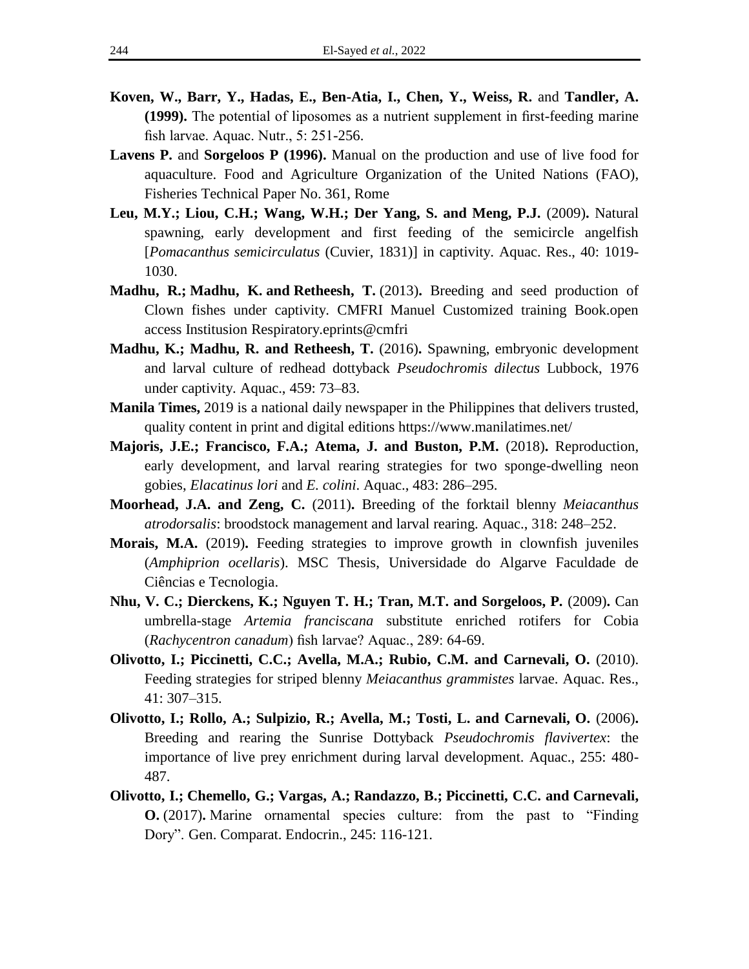- **Koven, W., Barr, Y., Hadas, E., Ben-Atia, I., Chen, Y., Weiss, R.** and **Tandler, A. (1999).** The potential of liposomes as a nutrient supplement in first-feeding marine fish larvae. Aquac. Nutr., 5: 251-256.
- **Lavens P.** and **Sorgeloos P (1996).** Manual on the production and use of live food for aquaculture. Food and Agriculture Organization of the United Nations (FAO), Fisheries Technical Paper No. 361, Rome
- **Leu, M.Y.; Liou, C.H.; Wang, W.H.; Der Yang, S. and Meng, P.J.** (2009)**.** Natural spawning, early development and first feeding of the semicircle angelfish [*Pomacanthus semicirculatus* (Cuvier, 1831)] in captivity. Aquac. Res., 40: 1019- 1030.
- **Madhu, R.; Madhu, K. and Retheesh, T.** (2013)**.** Breeding and seed production of Clown fishes under captivity. CMFRI Manuel Customized training Book.open access Institusion Respiratory.eprints@cmfri
- **Madhu, K.; Madhu, R. and Retheesh, T.** (2016)**.** Spawning, embryonic development and larval culture of redhead dottyback *Pseudochromis dilectus* Lubbock, 1976 under captivity. Aquac., 459: 73–83.
- **Manila Times,** 2019 is a national daily newspaper in the Philippines that delivers trusted, quality content in print and digital editions https://www.manilatimes.net/
- **Majoris, J.E.; Francisco, F.A.; Atema, J. and Buston, P.M.** (2018)**.** Reproduction, early development, and larval rearing strategies for two sponge-dwelling neon gobies, *Elacatinus lori* and *E. colini*. Aquac., 483: 286–295.
- **Moorhead, J.A. and Zeng, C.** (2011)**.** Breeding of the forktail blenny *Meiacanthus atrodorsalis*: broodstock management and larval rearing. Aquac., 318: 248–252.
- **Morais, M.A.** (2019)**.** Feeding strategies to improve growth in clownfish juveniles (*Amphiprion ocellaris*). MSC Thesis, Universidade do Algarve Faculdade de Ciências e Tecnologia.
- **Nhu, V. C.; Dierckens, K.; Nguyen T. H.; Tran, M.T. and Sorgeloos, P.** (2009)**.** Can umbrella-stage *Artemia franciscana* substitute enriched rotifers for Cobia (*Rachycentron canadum*) fish larvae? Aquac., 289: 64-69.
- **Olivotto, I.; Piccinetti, C.C.; Avella, M.A.; Rubio, C.M. and Carnevali, O.** (2010). Feeding strategies for striped blenny *Meiacanthus grammistes* larvae. Aquac. Res., 41: 307–315.
- **Olivotto, I.; Rollo, A.; Sulpizio, R.; Avella, M.; Tosti, L. and Carnevali, O.** (2006)**.** Breeding and rearing the Sunrise Dottyback *Pseudochromis flavivertex*: the importance of live prey enrichment during larval development. Aquac., 255: 480- 487.
- **Olivotto, I.; Chemello, G.; Vargas, A.; Randazzo, B.; Piccinetti, C.C. and Carnevali, O.** (2017)**.** Marine ornamental species culture: from the past to "Finding Dory". Gen. Comparat. Endocrin., 245: 116-121.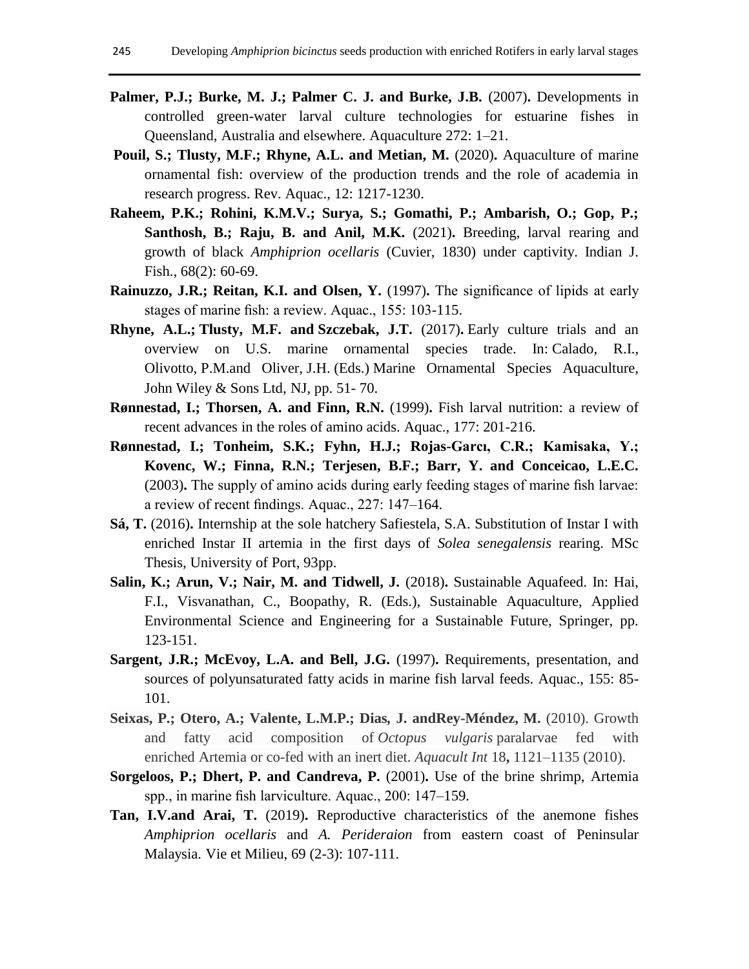- Palmer, P.J.; Burke, M. J.; Palmer C. J. and Burke, J.B. (2007). Developments in controlled green-water larval culture technologies for estuarine fishes in Queensland, Australia and elsewhere. Aquaculture 272: 1–21.
- Pouil, S.; Tlusty, M.F.; Rhyne, A.L. and Metian, M. (2020). Aquaculture of marine ornamental fish: overview of the production trends and the role of academia in research progress. Rev. Aquac., 12: 1217-1230.
- **Raheem, P.K.; Rohini, K.M.V.; Surya, S.; Gomathi, P.; Ambarish, O.; Gop, P.; Santhosh, B.; Raju, B. and Anil, M.K.** (2021)**.** Breeding, larval rearing and growth of black *Amphiprion ocellaris* (Cuvier, 1830) under captivity. Indian J. Fish., 68(2): 60-69.
- **Rainuzzo, J.R.; Reitan, K.I. and Olsen, Y.** (1997). The significance of lipids at early stages of marine fish: a review. Aquac., 155: 103-115.
- **Rhyne, A.L.; Tlusty, M.F. and Szczebak, J.T.** (2017)**.** Early culture trials and an overview on U.S. marine ornamental species trade. In: Calado, R.I., Olivotto, P.M.and Oliver, J.H. (Eds.) Marine Ornamental Species Aquaculture, John Wiley & Sons Ltd, NJ, pp. 51- 70.
- **Rønnestad, I.; Thorsen, A. and Finn, R.N.** (1999)**.** Fish larval nutrition: a review of recent advances in the roles of amino acids. Aquac., 177: 201-216.
- **Rønnestad, I.; Tonheim, S.K.; Fyhn, H.J.; Rojas-Garcı, C.R.; Kamisaka, Y.; Kovenc, W.; Finna, R.N.; Terjesen, B.F.; Barr, Y. and Conceicao, L.E.C.**  (2003)**.** The supply of amino acids during early feeding stages of marine fish larvae: a review of recent findings. Aquac., 227: 147–164.
- **Sá, T.** (2016)**.** Internship at the sole hatchery Safiestela, S.A. Substitution of Instar I with enriched Instar II artemia in the first days of *Solea senegalensis* rearing. MSc Thesis, University of Port, 93pp.
- Salin, K.; Arun, V.; Nair, M. and Tidwell, J. (2018). Sustainable Aquafeed. In: Hai, F.I., Visvanathan, C., Boopathy, R. (Eds.), Sustainable Aquaculture, Applied Environmental Science and Engineering for a Sustainable Future, Springer, pp. 123-151.
- **Sargent, J.R.; McEvoy, L.A. and Bell, J.G.** (1997)**.** Requirements, presentation, and sources of polyunsaturated fatty acids in marine fish larval feeds. Aquac., 155: 85- 101.
- **Seixas, P.; Otero, A.; Valente, L.M.P.; Dias***,* **J. andRey-Méndez, M.** (2010). Growth and fatty acid composition of *Octopus vulgaris* paralarvae fed with enriched Artemia or co-fed with an inert diet. *Aquacult Int* 18**,** 1121–1135 (2010).
- **Sorgeloos, P.; Dhert, P. and Candreva, P.** (2001)**.** Use of the brine shrimp, Artemia spp., in marine fish larviculture. Aquac., 200: 147–159.
- **Tan, I.V.and Arai, T.** (2019)**.** Reproductive characteristics of the anemone fishes *Amphiprion ocellaris* and *A. Perideraion* from eastern coast of Peninsular Malaysia. Vie et Milieu, 69 (2-3): 107-111.